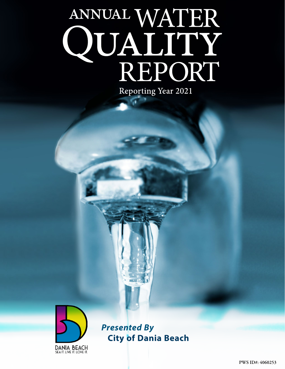# ANNUAL WATER<br>QUALITY<br>REPORT **Reporting Year 2021**



*Presented By* **City of Dania Beach**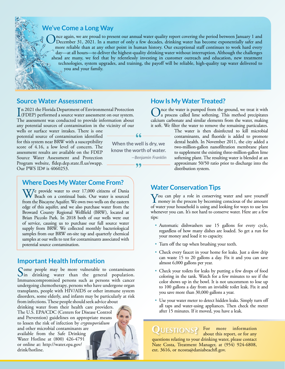

nce again, we are proud to present our annual water quality report covering the period between January 1 and December 31, 2021. In a matter of only a few decades, drinking water has become exponentially safer and more reliable than at any other point in human history. Our exceptional staff continues to work hard every day—at all hours—to deliver the highest-quality drinking water without interruption. Although the challenges ahead are many, we feel that by relentlessly investing in customer outreach and education, new treatment technologies, system upgrades, and training, the payoff will be reliable, high-quality tap water delivered to you and your family.

## **Source Water Assessment**

In 2021 the Florida Department of Environmental Protection<br>(FDEP) performed a source water assessment on our system. (FDEP) performed a source water assessment on our system. The assessment was conducted to provide information about any potential sources of contamination in the vicinity of our

wells or surface water intakes. There is one potential source of contamination identified for this system near BRW with a susceptibility score of 4.16, a low level of concern. The assessment results are available on the FDEP Source Water Assessment and Protection Program website, [fldep.dep.state.fl.us/swapp](http://fldep.dep.state.fl.us/swapp). Our PWS ID# is 4060253.

# **Where Does My Water Come From?**

We provide water to over 17,000 citizens of Dania Beach on a continual basis. Our water is sourced from the Biscayne Aquifer. We own two wells on the eastern edge of this aquifer, and we also purchase water from the Broward County Regional Wellfield (BRW), located at Brian Piccolo Park. In 2018 both of our wells were out of service, causing us to purchase our full source water supply from BRW. We collected monthly bacteriological samples from our BRW on-site tap and quarterly chemical samples at our wells to test for contaminants associated with potential source contamination.

# **Important Health Information**

Some people may be more vulnerable to contaminants<br>In drinking water than the general population. Immunocompromised persons such as persons with cancer undergoing chemotherapy, persons who have undergone organ transplants, people with HIV/AIDS or other immune system disorders, some elderly, and infants may be particularly at risk from infections. These people should seek advice about drinking water from their health care providers. The U.S. EPA/CDC (Centers for Disease Control and Prevention) guidelines on appropriate means to lessen the risk of infection by *cryptosporidium* and other microbial contaminants are available from the Safe Drinking Water Hotline at (800) 426-4791 or online at: [http://water.epa.gov/](http://water.epa.gov/drink/hotline) [drink/hotline.](http://water.epa.gov/drink/hotline)

## **How Is My Water Treated?**

Once the water is pumped from the ground, we treat it with a process called lime softening. This method precipitates calcium carbonate and similar elements from the water, making it soft. We filter the water to remove the remaining particulates.

The water is then disinfected to kill microbial contaminants, and fluoride is added to promote dental health. In November 2011, the city added a two-million-gallon nanofiltration membrane plant to supplement the existing three-million-gallon lime softening plant. The resulting water is blended at an approximate 50/50 ratio prior to discharge into the distribution system.

# **Water Conservation Tips**

You can play a role in conserving water and save yourself<br>money in the process by becoming conscious of the amount<br>of money is a served by the amount of the amount of the same of the served by the served of the served of t of water your household is using and looking for ways to use less whenever you can. It's not hard to conserve water. Here are a few tips:

- Automatic dishwashers use 15 gallons for every cycle, regardless of how many dishes are loaded. So get a run for your money and load it to capacity.
- Turn off the tap when brushing your teeth.
- Check every faucet in your home for leaks. Just a slow drip can waste 15 to 20 gallons a day. Fix it and you can save almost 6,000 gallons per year.
- Check your toilets for leaks by putting a few drops of food coloring in the tank. Watch for a few minutes to see if the color shows up in the bowl. It is not uncommon to lose up to 100 gallons a day from an invisible toilet leak. Fix it and you save more than 30,000 gallons a year.
- Use your water meter to detect hidden leaks. Simply turn off all taps and water-using appliances. Then check the meter after 15 minutes. If it moved, you have a leak.

QUESTIONS? For more information<br>about this report, or for any questions relating to your drinking water, please contact Nate Costa, Treatment Manager, at (954) 924-6808, ext. 3616, or [ncosta@daniabeachfl.gov.](mailto:ncosta@daniabeachfl.gov)

 $66$ 

**When the well is dry, we know the worth of water.**

*—Benjamin Franklin*

#### 99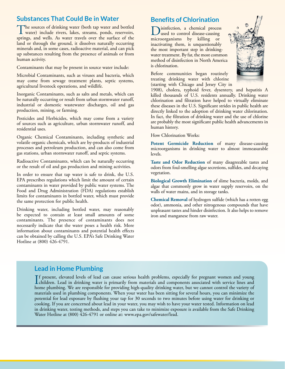## **Substances That Could Be in Water**

The sources of drinking water (both tap water and bottled water) include rivers, lakes, streams, ponds, reservoirs, springs, and wells. As water travels over the surface of the land or through the ground, it dissolves naturally occurring minerals and, in some cases, radioactive material, and can pick up substances resulting from the presence of animals or from human activity.

Contaminants that may be present in source water include:

Microbial Contaminants, such as viruses and bacteria, which may come from sewage treatment plants, septic systems, agricultural livestock operations, and wildlife.

Inorganic Contaminants, such as salts and metals, which can be naturally occurring or result from urban stormwater runoff, industrial or domestic wastewater discharges, oil and gas production, mining, or farming.

Pesticides and Herbicides, which may come from a variety of sources such as agriculture, urban stormwater runoff, and residential uses.

Organic Chemical Contaminants, including synthetic and volatile organic chemicals, which are by-products of industrial processes and petroleum production, and can also come from gas stations, urban stormwater runoff, and septic systems.

Radioactive Contaminants, which can be naturally occurring or the result of oil and gas production and mining activities.

In order to ensure that tap water is safe to drink, the U.S. EPA prescribes regulations which limit the amount of certain contaminants in water provided by public water systems. The Food and Drug Administration (FDA) regulations establish limits for contaminants in bottled water, which must provide the same protection for public health.

Drinking water, including bottled water, may reasonably be expected to contain at least small amounts of some contaminants. The presence of contaminants does not necessarily indicate that the water poses a health risk. More information about contaminants and potential health effects can be obtained by calling the U.S. EPA's Safe Drinking Water Hotline at (800) 426-4791.

## **Benefits of Chlorination**

Disinfection, a chemical process used to control disease-causing microorganisms by killing or inactivating them, is unquestionably the most important step in drinkingwater treatment. By far, the most common method of disinfection in North America is chlorination.

Before communities began routinely treating drinking water with chlorine (starting with Chicago and Jersey City in



1908), cholera, typhoid fever, dysentery, and hepatitis A killed thousands of U.S. residents annually. Drinking water chlorination and filtration have helped to virtually eliminate these diseases in the U.S. Significant strides in public health are directly linked to the adoption of drinking water chlorination. In fact, the filtration of drinking water and the use of chlorine are probably the most significant public health advancements in human history.

How Chlorination Works:

**Potent Germicide Reduction** of many disease-causing microorganisms in drinking water to almost immeasurable levels.

**Taste and Odor Reduction** of many disagreeable tastes and odors from foul-smelling algae secretions, sulfides, and decaying vegetation.

**Biological Growth Elimination** of slime bacteria, molds, and algae that commonly grow in water supply reservoirs, on the walls of water mains, and in storage tanks.

**Chemical Removal** of hydrogen sulfide (which has a rotten egg odor), ammonia, and other nitrogenous compounds that have unpleasant tastes and hinder disinfection. It also helps to remove iron and manganese from raw water.

## **Lead in Home Plumbing**

If present, elevated levels of lead can cause serious health problems, especially for pregnant women and young<br>children. Lead in drinking water is primarily from materials and components associated with service lines and<br>h f present, elevated levels of lead can cause serious health problems, especially for pregnant women and young home plumbing. We are responsible for providing high-quality drinking water, but we cannot control the variety of materials used in plumbing components. When your water has been sitting for several hours, you can minimize the potential for lead exposure by flushing your tap for 30 seconds to two minutes before using water for drinking or cooking. If you are concerned about lead in your water, you may wish to have your water tested. Information on lead in drinking water, testing methods, and steps you can take to minimize exposure is available from the Safe Drinking Water Hotline at (800) 426-4791 or online at: [www.epa.gov/safewater/lead.](http://www.epa.gov/safewater/lead)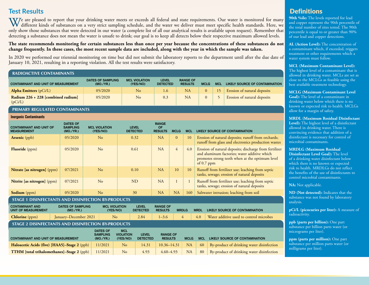# **Test Results**

**Inorganic Contaminants**

We are pleased to report that your drinking water meets or exceeds all federal and state requirements. Our water is monitored for many<br>different kinds of substances on a very strict sampling schedule, and the water we deli only show those substances that were detected in our water (a complete list of all our analytical results is available upon request). Remember that detecting a substance does not mean the water is unsafe to drink; our goal is to keep all detects below their respective maximum allowed levels.

#### **The state recommends monitoring for certain substances less than once per year because the concentrations of these substances do not change frequently. In these cases, the most recent sample data are included, along with the year in which the sample was taken.**

In 2020 we performed our triennial monitoring on time but did not submit the laboratory reports to the department until after the due date of January 10, 2021, resulting in a reporting violation. All the test results were satisfactory.

#### **RADIOACTIVE CONTAMINANTS**

| <b>CONTAMINANT AND UNIT OF MEASUREMENT</b>      | <b>DATES OF SAMPLING</b><br>(MO./YR.) | <b>MCL VIOLATION</b><br>(YES/NO) | <b>LEVEL</b><br><b>DETECTED</b> | <b>RANGE OF</b><br><b>RESULTS</b> | <b>MCLG</b> | <b>MCL</b> | LIKELY SOURCE OF CONTAMINATION |
|-------------------------------------------------|---------------------------------------|----------------------------------|---------------------------------|-----------------------------------|-------------|------------|--------------------------------|
| Alpha Emitters $(pCi/L)$                        | 05/2020                               | No                               | 1.6                             | NA                                |             | 15         | Erosion of natural deposits    |
| Radium $226 + 228$ [combined radium]<br>(pCi/L) | 05/2020                               | No                               | 0.3                             | NA                                |             |            | Erosion of natural deposits    |

#### **PRIMARY REGULATED CONTAMINANTS**

| <b>INDIGAING CONTAINMENTS</b>                        |                                                 |                                  |                                 |                                             |                |              |                                                                                                                                                                           |
|------------------------------------------------------|-------------------------------------------------|----------------------------------|---------------------------------|---------------------------------------------|----------------|--------------|---------------------------------------------------------------------------------------------------------------------------------------------------------------------------|
| <b>CONTAMINANT AND UNIT OF</b><br><b>MEASUREMENT</b> | <b>DATES OF</b><br><b>SAMPLING</b><br>(MO./YR.) | <b>MCL VIOLATION</b><br>(YES/NO) | <b>LEVEL</b><br><b>DETECTED</b> | <b>RANGE</b><br><b>OF</b><br><b>RESULTS</b> | <b>MCLG</b>    | <b>MCL</b>   | LIKELY SOURCE OF CONTAMINATION                                                                                                                                            |
| <b>Arsenic</b> (ppb)                                 | 05/2020                                         | No                               | 0.32                            | NA                                          | $\Omega$       | 10           | Erosion of natural deposits; runoff from orchards;<br>runoff from glass and electronics production wastes                                                                 |
| <b>Fluoride</b> (ppm)                                | 05/2020                                         | No                               | 0.61                            | <b>NA</b>                                   | $\overline{4}$ | 4.0          | Erosion of natural deposits; discharge from fertilizer<br>and aluminum factories; water additive which<br>promotes strong teeth when at the optimum level<br>of $0.7$ ppm |
| Nitrate [as nitrogen] (ppm)                          | 07/2021                                         | No                               | 0.10                            | NA                                          | 10             | 10           | Runoff from fertilizer use; leaching from septic<br>tanks, sewage; erosion of natural deposits                                                                            |
| Nitrite [as nitrogen] (ppm)                          | 07/2021                                         | No                               | N <sub>D</sub>                  | <b>NA</b>                                   |                | $\mathbf{1}$ | Runoff from fertilizer use; leaching from septic<br>tanks, sewage; erosion of natural deposits                                                                            |
| <b>Sodium</b> (ppm)                                  | 05/2020                                         | No                               | 30                              | <b>NA</b>                                   | <b>NA</b>      | 160          | Saltwater intrusion; leaching from soil                                                                                                                                   |

#### **STAGE 1 DISINFECTANTS AND DISINFECTION BY-PRODUCTS**

| <b>CONTAMINANT AND</b><br>UNIT OF MEASUREMENT      | <b>DATES OF SAMPLING</b><br>(MO./YR.) | <b>MCL VIOLATION</b><br>(YES/NO) | <b>LEVEL</b><br><b>DETECTED</b> | <b>RANGE OF</b><br><b>RESULTS</b> |  | <b>MRDL</b> | LIKELY SOURCE OF CONTAMINATION          |  |
|----------------------------------------------------|---------------------------------------|----------------------------------|---------------------------------|-----------------------------------|--|-------------|-----------------------------------------|--|
| <b>Chlorine</b> (ppm)                              | January–December 2021                 | No                               | 2.84                            | $1 - 3.6$                         |  | 4.0         | Water additive used to control microbes |  |
| STAGE 2 DISINFECTANTS AND DISINFECTION BY-PRODUCTS |                                       |                                  |                                 |                                   |  |             |                                         |  |

| <b>CONTAMINANT AND UNIT OF MEASUREMENT</b>        | <b>DATES OF</b><br><b>SAMPLING</b><br>(MO./YR.) | <b>MCL</b><br><b>VIOLATION</b><br>(YES/NO) | <b>LEVEL</b><br><b>DETECTED</b> | <b>RANGE OF</b><br><b>RESULTS</b> | <b>MCLG</b> | <b>MCL</b> | LIKELY SOURCE OF CONTAMINATION               |
|---------------------------------------------------|-------------------------------------------------|--------------------------------------------|---------------------------------|-----------------------------------|-------------|------------|----------------------------------------------|
| Haloacetic Acids (five) [HAA5]-Stage 2 (ppb)      | 11/2021                                         | No                                         | 14.31                           | $10.36 - 14.31$ NA                |             |            | 60 By-product of drinking water disinfection |
| <b>TTHM</b> [total trihalomethanes]-Stage 2 (ppb) | 11/2021                                         | N <sub>o</sub>                             | 4.93                            | $4.60 - 4.93$                     | <b>NA</b>   | 80         | By-product of drinking water disinfection    |

# **Definitions**

**90th %ile:** The levels reported for lead and copper represent the 90th percentile of the total number of sites tested. The 90th percentile is equal to or greater than 90% of our lead and copper detections.

**AL (Action Level):** The concentration of a contaminant which, if exceeded, triggers treatment or other requirements which a water system must follow.

#### **MCL (Maximum Contaminant Level):**

The highest level of a contaminant that is allowed in drinking water. MCLs are set as close to the MCLGs as feasible using the best available treatment technology.

#### **MCLG (Maximum Contaminant Level**

**Goal):** The level of a contaminant in drinking water below which there is no known or expected risk to health. MCLGs allow for a margin of safety.

#### **MRDL (Maximum Residual Disinfectant**

**Level):** The highest level of a disinfectant allowed in drinking water. There is convincing evidence that addition of a disinfectant is necessary for control of microbial contaminants.

#### **MRDLG (Maximum Residual**

**Disinfectant Level Goal):** The level of a drinking water disinfectant below which there is no known or expected risk to health. MRDLGs do not reflect the benefits of the use of disinfectants to control microbial contaminants.

**NA:** Not applicable.

**ND (Not detected):** Indicates that the substance was not found by laboratory analysis.

**pCi/L (picocuries per liter):** A measure of radioactivity.

**ppb (parts per billion):** One part substance per billion parts water (or micrograms per liter).

**ppm (parts per million):** One part substance per million parts water (or milligrams per liter).